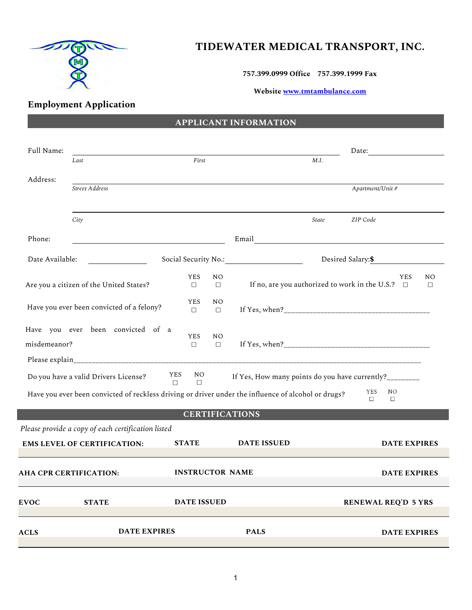

# **TIDEWATER MEDICAL TRANSPORT, INC.**

**757.399.0999 Office 757.399.1999 Fax**

**Website [www.tmtambulance.com](http://www.tmtambulance.com/)**

# **Employment Application**

## **APPLICANT INFORMATION**

| Full Name:      |                                                    |               |                      |                          |                                                                                                     | Date:<br><u> 1989 - Jan Barbara III, martx</u>                                                  |
|-----------------|----------------------------------------------------|---------------|----------------------|--------------------------|-----------------------------------------------------------------------------------------------------|-------------------------------------------------------------------------------------------------|
|                 | Last                                               |               | First                |                          | M.I.                                                                                                |                                                                                                 |
| Address:        | Street Address                                     |               |                      |                          |                                                                                                     | Apartment/Unit #                                                                                |
|                 | City                                               |               |                      |                          | State                                                                                               | ZIP Code                                                                                        |
| Phone:          |                                                    |               |                      |                          | Email <u>International Communication</u>                                                            |                                                                                                 |
| Date Available: |                                                    |               |                      |                          |                                                                                                     | Desired Salary: \$                                                                              |
|                 | Are you a citizen of the United States?            |               | <b>YES</b><br>$\Box$ | N <sub>O</sub><br>$\Box$ |                                                                                                     | <b>YES</b><br>N <sub>O</sub><br>If no, are you authorized to work in the U.S.? $\Box$<br>$\Box$ |
|                 | Have you ever been convicted of a felony?          |               | <b>YES</b><br>$\Box$ | N <sub>O</sub><br>$\Box$ |                                                                                                     |                                                                                                 |
| misdemeanor?    | Have you ever been convicted of a                  |               | <b>YES</b><br>$\Box$ | N <sub>O</sub><br>$\Box$ |                                                                                                     |                                                                                                 |
|                 |                                                    |               |                      |                          |                                                                                                     |                                                                                                 |
|                 | Do you have a valid Drivers License?               | YES<br>$\Box$ | NO.<br>$\Box$        |                          | If Yes, How many points do you have currently?________                                              |                                                                                                 |
|                 |                                                    |               |                      |                          | Have you ever been convicted of reckless driving or driver under the influence of alcohol or drugs? | <b>YES</b><br>N <sub>O</sub><br>$\Box$<br>$\Box$                                                |
|                 |                                                    |               |                      |                          | <b>CERTIFICATIONS</b>                                                                               |                                                                                                 |
|                 | Please provide a copy of each certification listed |               |                      |                          |                                                                                                     |                                                                                                 |
|                 | <b>EMS LEVEL OF CERTIFICATION:</b>                 |               | <b>STATE</b>         |                          | <b>DATE ISSUED</b>                                                                                  | <b>DATE EXPIRES</b>                                                                             |
|                 | AHA CPR CERTIFICATION:                             |               |                      |                          | <b>INSTRUCTOR NAME</b>                                                                              | <b>DATE EXPIRES</b>                                                                             |
| <b>EVOC</b>     | <b>STATE</b>                                       |               | <b>DATE ISSUED</b>   |                          |                                                                                                     | <b>RENEWAL REQ'D 5 YRS</b>                                                                      |
| <b>ACLS</b>     | <b>DATE EXPIRES</b>                                |               |                      |                          | <b>PALS</b>                                                                                         | <b>DATE EXPIRES</b>                                                                             |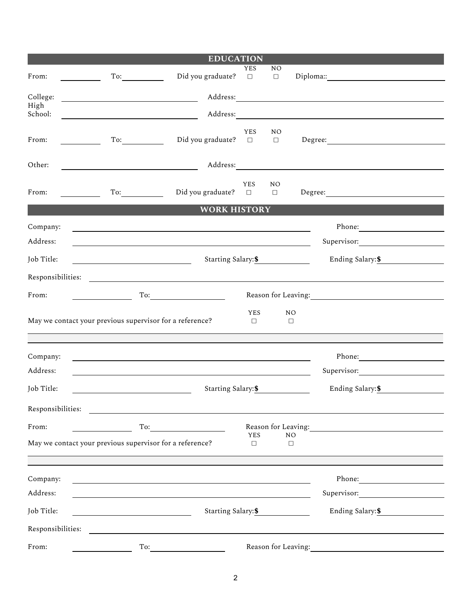|                               |                                                                                                                      | <b>EDUCATION</b>                                                                                                 |                      |                          |                          |                                                                                                                                                                                                                                                                                                                                                                                             |
|-------------------------------|----------------------------------------------------------------------------------------------------------------------|------------------------------------------------------------------------------------------------------------------|----------------------|--------------------------|--------------------------|---------------------------------------------------------------------------------------------------------------------------------------------------------------------------------------------------------------------------------------------------------------------------------------------------------------------------------------------------------------------------------------------|
| From:                         | To:                                                                                                                  | Did you graduate?                                                                                                | YES<br>$\Box$        | NO<br>$\Box$             |                          |                                                                                                                                                                                                                                                                                                                                                                                             |
| College:                      | <u> 1989 - Johann Barn, mars ann an t-Amhain Aonaich an t-Aonaich an t-Aonaich ann an t-Aonaich ann an t-Aonaich</u> |                                                                                                                  |                      |                          |                          |                                                                                                                                                                                                                                                                                                                                                                                             |
| High<br>School:               |                                                                                                                      |                                                                                                                  |                      |                          |                          |                                                                                                                                                                                                                                                                                                                                                                                             |
| From:                         | To:<br><b>Contract Contract</b>                                                                                      | Did you graduate?                                                                                                | <b>YES</b><br>$\Box$ | NO.<br>$\Box$            |                          | $\begin{picture}(150,10) \put(0,0){\dashbox{0.5}(10,0){ }} \put(15,0){\circle{10}} \put(15,0){\circle{10}} \put(15,0){\circle{10}} \put(15,0){\circle{10}} \put(15,0){\circle{10}} \put(15,0){\circle{10}} \put(15,0){\circle{10}} \put(15,0){\circle{10}} \put(15,0){\circle{10}} \put(15,0){\circle{10}} \put(15,0){\circle{10}} \put(15,0){\circle{10}} \put(15,0){\circle{10}} \put(15$ |
| Other:                        |                                                                                                                      |                                                                                                                  |                      |                          |                          |                                                                                                                                                                                                                                                                                                                                                                                             |
| From:<br><u>and the state</u> | To:                                                                                                                  | Did you graduate?                                                                                                | <b>YES</b><br>$\Box$ | N <sub>O</sub><br>$\Box$ |                          |                                                                                                                                                                                                                                                                                                                                                                                             |
|                               |                                                                                                                      | <b>WORK HISTORY</b>                                                                                              |                      |                          |                          |                                                                                                                                                                                                                                                                                                                                                                                             |
| Company:<br>Address:          |                                                                                                                      | and the control of the control of the control of the control of the control of the control of the control of the |                      |                          |                          | Supervisor:                                                                                                                                                                                                                                                                                                                                                                                 |
| Job Title:                    | <u> 1980 - Johann Barbara, martin amerikan ba</u>                                                                    | Starting Salary: \$                                                                                              |                      |                          |                          | Ending Salary: \$                                                                                                                                                                                                                                                                                                                                                                           |
| Responsibilities:             |                                                                                                                      |                                                                                                                  |                      |                          |                          |                                                                                                                                                                                                                                                                                                                                                                                             |
| From:                         |                                                                                                                      | To:                                                                                                              |                      |                          |                          |                                                                                                                                                                                                                                                                                                                                                                                             |
|                               | May we contact your previous supervisor for a reference?                                                             |                                                                                                                  | <b>YES</b><br>$\Box$ |                          | N <sub>O</sub><br>$\Box$ |                                                                                                                                                                                                                                                                                                                                                                                             |
| Company:                      |                                                                                                                      |                                                                                                                  |                      |                          |                          |                                                                                                                                                                                                                                                                                                                                                                                             |
| Address:                      |                                                                                                                      |                                                                                                                  |                      |                          |                          | Supervisor:                                                                                                                                                                                                                                                                                                                                                                                 |
| Job Title:                    |                                                                                                                      | Starting Salary: \$                                                                                              |                      |                          |                          | Ending Salary: \$                                                                                                                                                                                                                                                                                                                                                                           |
| Responsibilities:             |                                                                                                                      |                                                                                                                  |                      |                          |                          |                                                                                                                                                                                                                                                                                                                                                                                             |
| From:                         |                                                                                                                      | To: $\qquad \qquad$                                                                                              |                      |                          |                          | Reason for Leaving:                                                                                                                                                                                                                                                                                                                                                                         |
|                               | May we contact your previous supervisor for a reference?                                                             |                                                                                                                  | <b>YES</b><br>$\Box$ |                          | N <sub>O</sub><br>$\Box$ |                                                                                                                                                                                                                                                                                                                                                                                             |
|                               |                                                                                                                      |                                                                                                                  |                      |                          |                          |                                                                                                                                                                                                                                                                                                                                                                                             |
| Company:                      |                                                                                                                      |                                                                                                                  |                      |                          |                          |                                                                                                                                                                                                                                                                                                                                                                                             |
| Address:                      |                                                                                                                      |                                                                                                                  |                      |                          |                          | Supervisor:                                                                                                                                                                                                                                                                                                                                                                                 |
| Job Title:                    |                                                                                                                      |                                                                                                                  | Ending Salary: \$    |                          |                          |                                                                                                                                                                                                                                                                                                                                                                                             |
| Responsibilities:             |                                                                                                                      |                                                                                                                  |                      |                          |                          |                                                                                                                                                                                                                                                                                                                                                                                             |
| From:                         | To:                                                                                                                  |                                                                                                                  |                      | Reason for Leaving:      |                          |                                                                                                                                                                                                                                                                                                                                                                                             |